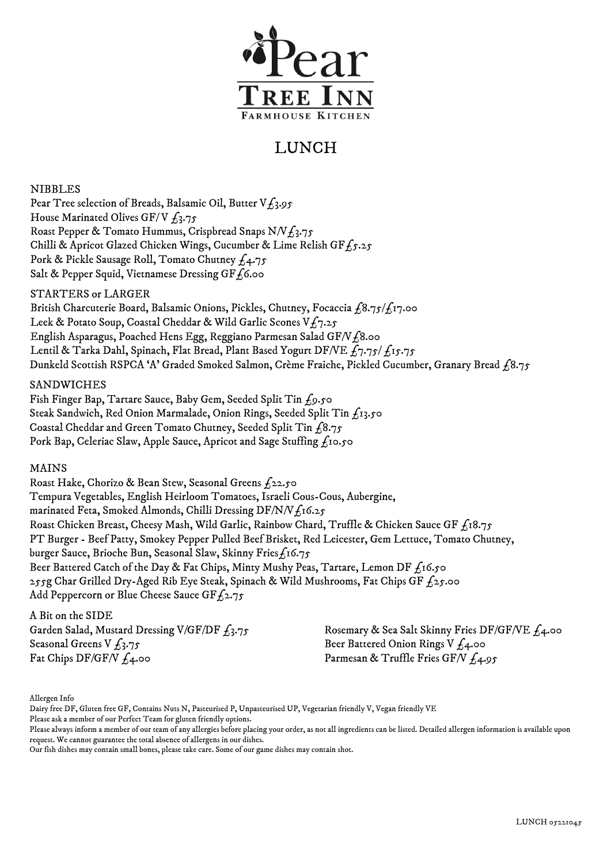

# LUNCH

NIBBLES

Pear Tree selection of Breads, Balsamic Oil, Butter  $V_{L_3,95}$ House Marinated Olives GF/V  $f_3.75$ Roast Pepper & Tomato Hummus, Crispbread Snaps N/V $f_3$ .75 Chilli & Apricot Glazed Chicken Wings, Cucumber & Lime Relish GF $f_5.25$ Pork & Pickle Sausage Roll, Tomato Chutney  $f_4$ .75 Salt & Pepper Squid, Vietnamese Dressing GF $f_6$ .00

## STARTERS or LARGER

British Charcuterie Board, Balsamic Onions, Pickles, Chutney, Focaccia  $f_18.75/f_17.00$ Leek & Potato Soup, Coastal Cheddar & Wild Garlic Scones  $Vf_7.25$ English Asparagus, Poached Hens Egg, Reggiano Parmesan Salad GF/V $f$ 8.00 Lentil & Tarka Dahl, Spinach, Flat Bread, Plant Based Yogurt DF/VE  $f_7.75/f_1$ 5.75 Dunkeld Scottish RSPCA 'A' Graded Smoked Salmon, Crème Fraiche, Pickled Cucumber, Granary Bread  $\hat{1}8.75$ 

## SANDWICHES

Fish Finger Bap, Tartare Sauce, Baby Gem, Seeded Split Tin £9.50 Steak Sandwich, Red Onion Marmalade, Onion Rings, Seeded Split Tin £13.50 Coastal Cheddar and Green Tomato Chutney, Seeded Split Tin  $f_18.75$ Pork Bap, Celeriac Slaw, Apple Sauce, Apricot and Sage Stuffing  $f_1$ 10.50

## MAINS

 Roast Hake, Chorizo & Bean Stew, Seasonal Greens £22.50 Tempura Vegetables, English Heirloom Tomatoes, Israeli Cous-Cous, Aubergine, marinated Feta, Smoked Almonds, Chilli Dressing DF/N/V $f_1$ 16.25 Roast Chicken Breast, Cheesy Mash, Wild Garlic, Rainbow Chard, Truffle & Chicken Sauce GF  $f_1s.75$ PT Burger - Beef Patty, Smokey Pepper Pulled Beef Brisket, Red Leicester, Gem Lettuce, Tomato Chutney, burger Sauce, Brioche Bun, Seasonal Slaw, Skinny Fries $f_1$ 16.75 Beer Battered Catch of the Day & Fat Chips, Minty Mushy Peas, Tartare, Lemon DF  $f_1$ 6.50 255g Char Grilled Dry-Aged Rib Eye Steak, Spinach & Wild Mushrooms, Fat Chips GF  $f_2$ 5.00 Add Peppercorn or Blue Cheese Sauce GF $f_2$ .75

A Bit on the SIDE Garden Salad, Mustard Dressing V/GF/DF  $f_3.75$ Seasonal Greens V  $f_3.75$ Fat Chips DF/GF/V  $f_4$ .00

Rosemary & Sea Salt Skinny Fries DF/GF/VE £4.00 Beer Battered Onion Rings V  $f_4$ .00 Parmesan & Truffle Fries GF/V  $f_4.95$ 

Allergen Info

Please ask a member of our Perfect Team for gluten friendly options.

Our fish dishes may contain small bones, please take care. Some of our game dishes may contain shot.

Dairy free DF, Gluten free GF, Contains Nuts N, Pasteurised P, Unpasteurised UP, Vegetarian friendly V, Vegan friendly VE

Please always inform a member of our team of any allergies before placing your order, as not all ingredients can be listed. Detailed allergen information is available upon request. We cannot guarantee the total absence of allergens in our dishes.